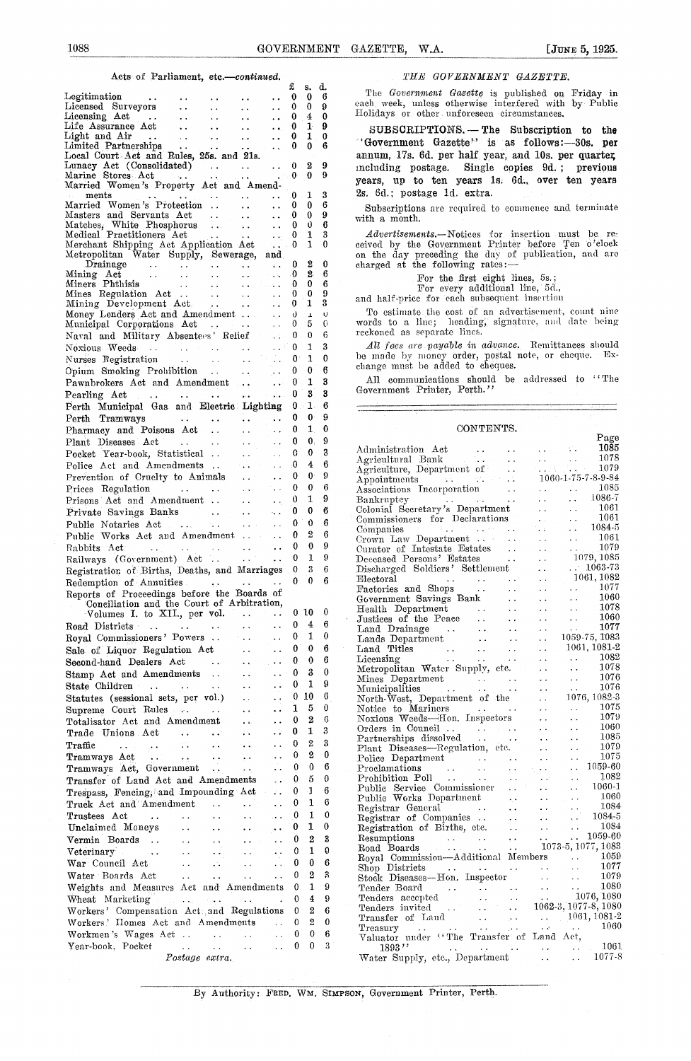### Acts of Parliament, *etc.—contisnsed. THE GOVERNMENT GAZETTE.*

| 1088                                                                                                                                                                                                                                                                                                                                    |                                              |                                                  |                                            | GOVERNMENT GAZETTE.<br>[JUNE 5, 1925.<br>W.A.                                                                                                                                                                                                                                                                                     |
|-----------------------------------------------------------------------------------------------------------------------------------------------------------------------------------------------------------------------------------------------------------------------------------------------------------------------------------------|----------------------------------------------|--------------------------------------------------|--------------------------------------------|-----------------------------------------------------------------------------------------------------------------------------------------------------------------------------------------------------------------------------------------------------------------------------------------------------------------------------------|
| Acts of Parliament, etc.-continued.                                                                                                                                                                                                                                                                                                     |                                              |                                                  |                                            | THE GOVERNMENT GAZETTE.                                                                                                                                                                                                                                                                                                           |
| Legitimation<br>$\sim 100$ km s $^{-1}$<br>$\ddot{\phantom{a}}$<br>$\ddot{\phantom{0}}$<br>$\sim 10^{-1}$<br>$\ddot{\phantom{0}}$                                                                                                                                                                                                       | £<br>$\bf{0}$<br>0<br>0                      | $\bf{0}$<br>$\pm$                                | s. d.<br>- 6<br>$0\quad 9$<br>$\mathbf{0}$ | The Government Gazette is published on Friday in<br>each week, unless otherwise interfered with by Public<br>Holidays or other unforeseen circumstances.                                                                                                                                                                          |
| $\sim$ $\sim$<br>$\ddot{\phantom{a}}$<br>$\ddot{\phantom{a}}$<br>$\ddot{\phantom{a}}$ .<br>$\ddot{\phantom{0}}$<br>$\ddot{\phantom{0}}$<br>$\ddotsc$<br>$\mathcal{L}_{\mathbf{r}}$ , $\mathcal{L}_{\mathbf{r}}$<br>Limited Partnerships<br>$\sim$ $\sim$ $\sim$<br>$\mathbf{A}$ is a $\mathbf{A}$<br>$\sim$ $\sim$<br>$\ddotsc$         | 0<br>0<br>0                                  | 1<br>0                                           | $1 \quad 9$<br>$\Omega$<br>6               | SUBSCRIPTIONS. - The Subscription to the<br>"Government Gazette" is as follows:-30s. per                                                                                                                                                                                                                                          |
| Local Court Act and Rules, 25s. and 21s.<br>Marine Stores Act<br>$\sim 100$ km s $^{-1}$<br>$\sim 100$ km s $^{-1}$                                                                                                                                                                                                                     | $\cdots$ 0<br>$\cdots 0$                     | -2                                               | -9<br>0 <sub>9</sub>                       | annum, 17s. 6d, per half year, and 10s, per quarter<br>including postage. Single copies 9d.; previous<br>years, up to ten years 1s. 6d., over ten years                                                                                                                                                                           |
| Married Women's Property Act and Amend-<br>ments<br>Married Women's Protection<br>$\mathbf{1}$<br>$\ddotsc$                                                                                                                                                                                                                             | 0<br>0                                       | 1<br>0                                           | 3<br>6                                     | 2s. 6d.; postage 1d. extra.<br>Subscriptions are required to commence and terminate                                                                                                                                                                                                                                               |
| Masters and Servants Act<br>$\sim 10^{-1}$<br>Matches, White Phosphorus<br>$\ddot{\phantom{a}}$<br>Medical Practitioners Act<br>$\sim 10^{-1}$<br>$\sim$ $\sim$<br>$\bullet$ . $\bullet$ :<br>Merchant Shipping Act Application Act<br>Salam R                                                                                          | $\bf{0}$<br>$\bf{0}$<br>$\bf{0}$<br>$\bf{0}$ | 0<br>0<br>1<br>1                                 | 9<br>6<br>3<br>$\theta$                    | with a month.<br><i>Advertisements</i> .—Notices for insertion must be re-<br>ceived by the Government Printer before Ten o'clock                                                                                                                                                                                                 |
| Metropolitan Water Supply, Sewerage, and<br>Drainage<br><b>Contract Contract</b><br>$\mathcal{L}(\mathbf{r})$ and $\mathcal{L}(\mathbf{r})$<br>$\sim 10^{-10}$<br>$\mathcal{L}(\mathbf{z})$<br>$\sim$ $\sim$<br>Mining Act<br>$\sim 100$ km s $^{-1}$<br>$\sim 10^{-1}$<br>$\sim 10^{-10}$ m $^{-1}$<br>$\sim 10^{-11}$<br><b>State</b> | $\bf{0}$<br>0                                | 2<br>2                                           | 0<br>6                                     | on the day preceding the day of publication, and are<br>charged at the following rates:-                                                                                                                                                                                                                                          |
| Miners Phthisis<br>Miners Phthisis<br>Mines Regulation Act<br>Mining Development Act<br>$\sim 10^{-1}$<br>$\mathcal{L}(\mathcal{L})$ .                                                                                                                                                                                                  | 0<br>$\bf{0}$<br>$\bf{0}$                    | 0<br>0<br>1                                      | 6<br>9<br>3                                | For the first eight lines, 5s.;<br>For every additional line, 5d.,<br>and half-price for each subsequent insertion                                                                                                                                                                                                                |
| Money Lenders Act and Amendment<br>$\mathbf{A}$ , $\mathbf{A}$ , $\mathbf{A}$<br>Municipal Corporations Act<br>$\mathcal{L}_{\mathcal{F}}(\mathbf{y},\mathbf{y})$ , where $\mathcal{L}_{\mathcal{F}}$<br>$\sim 10^{-1}$<br>Naval and Military Absentees' Relief<br>$\sim 10$                                                            | $\theta$<br>$\bf{0}$<br>0                    | $\pmb{\bot}$<br>5<br>$\bf{0}$                    | IJ<br>-0<br>6                              | To estimate the cost of an advertisement, count nine<br>words to a line; heading, signature, and date being<br>reckoned as separate lines.                                                                                                                                                                                        |
| Noxious Weeds<br>and a straightful control of the<br>$\sim 10^7$<br>and the contract of<br>$\sim 100$<br>Nurses Registration<br><b>College</b><br>Opium Smoking Prohibition<br><b>Contractor</b>                                                                                                                                        | $\bf{0}$<br>$0^{\circ}$<br>0                 | 1<br>1<br>0                                      | 3<br>$\Omega$<br>6                         | All facs are payable in advance. Remittances should<br>be made by money order, postal note, or cheque. Ex-<br>change must be added to cheques.                                                                                                                                                                                    |
| Pawnbrokers Act and Amendment<br><b>Contract</b><br>$\ldots$ . $\ldots$ 0<br>Pearling Act<br>and the contract of the contract of<br>Perth Municipal Gas and Electric Lighting 0 1                                                                                                                                                       | 0                                            | 1<br>3                                           | 3<br>3<br>6                                | All communications should be addressed to "The<br>Government Printer, Perth."                                                                                                                                                                                                                                                     |
| and the state of the state of the state of<br>Perth Tramways<br>$\sim 10^{-11}$                                                                                                                                                                                                                                                         | 0                                            | $0 \quad 0$<br>1                                 | 9<br>$\bf{0}$                              | CONTENTS.<br>Page                                                                                                                                                                                                                                                                                                                 |
| $\sim 10^{-1}$<br>Pocket Year-book, Statistical                                                                                                                                                                                                                                                                                         | $\bf{0}$<br>$\ldots$ 0<br>$\ldots$ – $0$     | $\mathbf{0}$ .<br>$\mathbf{0}$<br>$\overline{4}$ | 9<br>3<br>6                                |                                                                                                                                                                                                                                                                                                                                   |
| Prevention of Cruelty to Animals<br>$\sim 10^{-1}$<br>na an<br>$\sim 10^{-1}$                                                                                                                                                                                                                                                           | $\bf{0}$<br>$\mathbf{0}$<br>$\theta$         | $\mathbf{0}$<br>$\mathbf{0}$<br>1                | 9<br>6<br>9                                |                                                                                                                                                                                                                                                                                                                                   |
| Prisons Act and Amendment<br>Private Savings Banks<br>$\Delta\sim 10$<br>Public Notaries Act<br>Public Works Act and Amendment                                                                                                                                                                                                          | 0<br>$\bf{0}$<br>$\mathbf{0}$                | 0<br>$\mathbf{0}$<br>$\overline{2}$              | 6<br>6<br>6                                |                                                                                                                                                                                                                                                                                                                                   |
| Rabbits Act      0<br>Railways (Government) Act 0 1                                                                                                                                                                                                                                                                                     |                                              | $\bf{0}$<br>3                                    | 9<br>9<br>6                                | 1079<br>$\sim 100$ km s $^{-1}$<br>Curator of Intestate Estates<br>Deceased Persons' Estates<br>Discharged Soldiers' Settlement<br>$-1079, 1085$<br>$\therefore$ 1063-73                                                                                                                                                          |
| Registration of Births, Deaths, and Marriages 0<br>Redemption of Annuities $\qquad \ldots \qquad \ldots \qquad 0 \quad 0$<br>Reports of Proceedings before the Boards of                                                                                                                                                                |                                              |                                                  | -6                                         | 1061, 1082<br>Electoral<br>Factories and Shops<br>Government Savings Bank<br>Health Department<br>Justices of the Peace<br>And Justices of the Peace<br>1077<br>$\mathcal{L}(\mathcal{L})$ .<br>1060<br>$\sim$ $\sim$                                                                                                             |
| Conciliation and the Court of Arbitration,<br>Volumes I. to XII., per vol. 0 10<br>Road Districts       0                                                                                                                                                                                                                               |                                              | $\pm$                                            | $\mathbf 0$<br>6                           | 1078<br>$\sim 10^{-1}$<br>1060<br>$\sim$ $\sim$<br>1077<br>$\bar{z}$ .                                                                                                                                                                                                                                                            |
| Royal Commissioners' Powers  0<br>Sale of Liquor Regulation Act<br>$\langle \cdot \rangle_{\rm c}$                                                                                                                                                                                                                                      | $\bf{0}$<br>$\bf{0}$                         | 1<br>$\bf{0}$<br>$\theta$                        | $\mathbf{0}$<br>6<br>6                     | Land Drainage<br>Land Drainage<br>Land Titles<br>Land Titles<br>Licensing<br>Metropolitan Water Supply, etc.<br><br>1059-75, 1083<br>1061, 1081-2<br>1082<br>$\Delta$ and $\Delta$                                                                                                                                                |
| $\sim 10^{-10}$<br>State Children<br>Statutes (sessional sets, per vol.)<br>$\sim$ $\sim$<br>$\epsilon_{\rm B}$                                                                                                                                                                                                                         | $\bf{0}$<br>$\bf{0}$                         | 3<br>1<br>$0\quad10$                             | $\bf{0}$<br>9<br>6                         | 1078<br>$\sim$ .<br>1076<br>Mines Department<br>Municipalities<br>North-West, Department of the<br>Notice to Mariners<br>When The Content of the<br>Notice to Mariners<br>The Content of the<br>Content of the<br>Content of the<br>Content of the<br>Content of the<br>Content<br>$\sim 10$<br>1076<br>$\sim 10$<br>1076, 1082-3 |
| $\sim$ $\sim$<br>Totalisator Act and Amendment<br>$\ddot{\phantom{a}}$<br>$\mathcal{L}(\mathcal{L})$                                                                                                                                                                                                                                    | $\mathbf{I}$<br>$\bf{0}$<br>$\bf{0}$         | $5\overline{5}$<br>$\boldsymbol{2}$<br>1         | $\bf{0}$<br>6<br>3                         | 1075<br>$\sim 10$<br>1079<br>Noxious Weeds-Hon. Inspectors<br>$\sim 10^7$<br>1060<br>$\sim$ $\sim$                                                                                                                                                                                                                                |
| <b>Traffic</b> $\cdots$ $\cdots$ $\cdots$ $\cdots$<br>$\sim 10^{-1}$<br>$\ddotsc$                                                                                                                                                                                                                                                       | 0<br>$\bf{0}$                                | $\overline{2}$<br>$\overline{2}$                 | $\boldsymbol{3}$<br>$\bf{0}$               | 1085<br>$\sim$ $\sim$<br>1079<br>$\sim$<br>1075<br>$\sim$ $\sim$                                                                                                                                                                                                                                                                  |
| $\ddotsc$<br>Transfer of Land Act and Amendments<br>$\ddot{\phantom{0}}$<br>Trespass, Fencing, and Impounding Act<br>$\sim 100$ km $^{-1}$                                                                                                                                                                                              | $\bf{0}$<br>$\cdot$<br>$\bf{0}$              | $\mathbf 0$<br>5<br>$\mathbf{I}$                 | 6<br>$\theta$<br>6                         | Police Department<br>Proclamations<br>Proclamations<br>Probibition Poll<br>Public Service Commissioner<br>Philip Service Commissioner<br>Altin Service Commissioner<br>Public Service Commissioner<br>1059-60<br>$\sim$ $\sim$<br>1082<br>$\sim$ $\sim$<br>1060-1<br>$\mathcal{L}(\mathcal{L})$                                   |
| $\sim 10^7$<br>Trustees Act<br>Unclaimed Moneys<br>$\sim$ $\sim$                                                                                                                                                                                                                                                                        | $\mathbf 0$<br>$\bf{0}$                      | 1<br>1                                           | 6<br>$\bf{0}$<br>$\bf{0}$                  | Fublie Works Department<br>Registrar General<br>Registrar of Companies<br>Registrar of Companies<br>New Yorks Department<br>Registration of Births, etc.<br>New Yorks 1073-5, 1077, 1083<br>Resumptions<br>Road Boards<br>New Yorks 1073-5, 1077<br>1084                                                                          |
| $\ddot{\phantom{1}}$ .<br>Vermin Boards<br>Veterinary<br>War Council Act<br>Act<br>$\sim 10^{-1}$ .<br>$\mathcal{L}_{\mathcal{A}}$                                                                                                                                                                                                      | $\bf{0}$<br>0<br>$\theta$                    | 1<br>$\boldsymbol{2}$<br>$\mathbf{1}$            | 3<br>$\Omega$                              | Royal Commission-Additional Members<br>1059                                                                                                                                                                                                                                                                                       |
| $\sim 10^{-11}$<br>Water Boards Act<br>$\sim 10^{-11}$<br>Weights and Measures Act and Amendments 0 1                                                                                                                                                                                                                                   | $\bf{0}$<br>$\theta$                         | 0<br>$\overline{2}$                              | 6<br>$\boldsymbol{\mathcal{S}}$<br>9       | Robyan Commission—Additional Members<br>Shop Districts (1977)<br>Tender Board (1976, 1980)<br>Tender Board (1976, 1980)<br>Tenders accepted (1976, 1980)<br>Tenders invited (1982-3, 1977-8, 1980)<br>Transfer of Land (1982-3, 1977-8, 19                                                                                        |
| Workers' Compensation Act and Regulations 0 2<br>Workers' Homes Act and Amendments  0 2                                                                                                                                                                                                                                                 |                                              |                                                  | 9<br>- 6<br>$\bf{0}$                       |                                                                                                                                                                                                                                                                                                                                   |
| Workmen's Wages Act $\ldots$ 0<br>Year-book, Pocket    0<br>Postage extra.                                                                                                                                                                                                                                                              |                                              | $\bf{0}$<br>$\mathbf{0}$                         | 6<br>3                                     |                                                                                                                                                                                                                                                                                                                                   |
|                                                                                                                                                                                                                                                                                                                                         |                                              |                                                  |                                            |                                                                                                                                                                                                                                                                                                                                   |

| $\frac{1}{2}$ Development $\frac{1}{2}$ or $\cdots$ $\cdots$                                                                                                                                                                                                                                                  |                     | л.                | ∙                |                                                                                                                                                                                                                                                                               |                      |
|---------------------------------------------------------------------------------------------------------------------------------------------------------------------------------------------------------------------------------------------------------------------------------------------------------------|---------------------|-------------------|------------------|-------------------------------------------------------------------------------------------------------------------------------------------------------------------------------------------------------------------------------------------------------------------------------|----------------------|
| by Lenders Act and Amendment $\ldots$ 0                                                                                                                                                                                                                                                                       |                     | $\blacksquare$    | <b>U</b>         | To estimate the cost of an advertisement, count nine                                                                                                                                                                                                                          |                      |
|                                                                                                                                                                                                                                                                                                               |                     | -5                | - 0              | words to a line; heading, signature, and date being                                                                                                                                                                                                                           |                      |
| d and Military Absentees' Relief<br>$\mathcal{F}^{\text{max}}$<br>$\sim 10^7$                                                                                                                                                                                                                                 | $\theta$            | $\bf{0}$          | 6                | reckoned as separate lines.                                                                                                                                                                                                                                                   |                      |
| $\sim 10^7$                                                                                                                                                                                                                                                                                                   | $\bf{0}$            | 1                 | 3                | All facs are payable in advance. Remittances should                                                                                                                                                                                                                           |                      |
| ous Weeds<br>es Registration (1999)<br>$\mathcal{I}\in\mathcal{I}_\infty$                                                                                                                                                                                                                                     | $\mathbf{0}$        | 1                 | $\Omega$         | be made by money order, postal note, or cheque. Ex-                                                                                                                                                                                                                           |                      |
|                                                                                                                                                                                                                                                                                                               | $\mathbf{0}$        | $\bf{0}$          | 6                | change must be added to cheques.                                                                                                                                                                                                                                              |                      |
| abrokers Act and Amendment                                                                                                                                                                                                                                                                                    | $\bf{0}$            | 1                 | 3                | All communications should be addressed to "The                                                                                                                                                                                                                                |                      |
|                                                                                                                                                                                                                                                                                                               | - 0                 | 3                 | 3                | Government Printer, Perth."                                                                                                                                                                                                                                                   |                      |
| $\lim_{x \to 0} \text{Act}$<br>$\sim 10^{11}$ and $\sim 10^{11}$                                                                                                                                                                                                                                              |                     |                   |                  |                                                                                                                                                                                                                                                                               |                      |
| h Municipal Gas and Electric Lighting                                                                                                                                                                                                                                                                         |                     | $\geq 0 \geq 1$ . | 6                |                                                                                                                                                                                                                                                                               |                      |
| $\mathbf{z}$ , $\mathbf{z}$ , $\mathbf{z}$ , $\mathbf{z}$                                                                                                                                                                                                                                                     | 0                   | $\mathbf{0}$      | 9                |                                                                                                                                                                                                                                                                               |                      |
| macy and Poisons Act.<br>$\sim$ $\sim$<br>$\sim 10$                                                                                                                                                                                                                                                           | $\bf{0}$            | 1                 | $\bf{0}$         | CONTENTS.                                                                                                                                                                                                                                                                     |                      |
| $\sim 10^{-10}$<br>$\ddotsc$                                                                                                                                                                                                                                                                                  | 0                   | $\mathbf{0}$      | 9                |                                                                                                                                                                                                                                                                               | Page                 |
| t Diseases Act<br>et Year-book, Statistical<br>$\mathcal{L}(\mathcal{L})$                                                                                                                                                                                                                                     | 0                   | $\bf{0}$          | 3                |                                                                                                                                                                                                                                                                               | 1085<br>1078         |
| e Act and Amendments<br>$\sim 10^7$                                                                                                                                                                                                                                                                           | $\ddot{\mathbf{0}}$ | 4                 | 6                | $\begin{tabular}{lcccccc} Adminisation & Act & & & . & . \\ \hline \textbf{Agricultural Bank} & & & . & . \\ \textbf{Agriculture, Department of} & & & . \\ \textbf{Aponentments} & & . & . & . \\ \end{tabular}$<br>1.1137777777                                             | 1079                 |
| ention of Cruelty to Animals<br>$\sim 10^{-1}$                                                                                                                                                                                                                                                                | 0                   | $\mathbf{0}$      | 9                | 1060-1-75-7-8-9-84                                                                                                                                                                                                                                                            |                      |
| es Regulation<br>$\sim$ $\sim$                                                                                                                                                                                                                                                                                | $\bf{0}$            | $\theta$          | 6                | $\Delta\Delta\phi$ and $\Delta\phi$                                                                                                                                                                                                                                           | 1085                 |
| $\mathcal{L}=\sum_{i=1}^n\mathcal{L}_i\left(\mathcal{L}_i\right)$ , where $\mathcal{L}_i$ is the $\mathcal{L}_i$<br>ons Act and Amendment                                                                                                                                                                     | 0                   | 1                 | 9                | Associations Incorporation<br>Bankruptcy<br>$\sim$ $\sim$<br>$\mathcal{L}(\mathcal{L})$ .                                                                                                                                                                                     | 1086-7               |
| $\sim$ $\sim$                                                                                                                                                                                                                                                                                                 | 0                   | 0                 | 6                | Colonial Secretary's Department<br>$\sim 10^{-1}$<br>$\sim$ $\sim$                                                                                                                                                                                                            | $-1061$              |
| ate Savings Banks<br>$\mathcal{L}_{\mathbf{a}}(\mathbf{x})$                                                                                                                                                                                                                                                   |                     |                   |                  | Commissioners for Declarations<br>$\mathcal{L}(\mathcal{L})$ .<br>$\sim$ $\sim$                                                                                                                                                                                               | 1061                 |
| ie Notaries Act                                                                                                                                                                                                                                                                                               | $\bf{0}$            | $\theta$          | 6                | $\sim 10^{-1}$<br><b>Contract</b>                                                                                                                                                                                                                                             | 1084-5               |
| ic Works Act and Amendment                                                                                                                                                                                                                                                                                    | $\bf{0}$            | $^{2}$            | 6                | Crown Law Department<br>$\sim 10^{-1}$<br>$\sim 10^{-1}$                                                                                                                                                                                                                      | 1061                 |
|                                                                                                                                                                                                                                                                                                               | $\bf{0}$            | $\bf{0}$          | 9                | Curator of Intestate Estates<br>$\sim 10^{-1}$<br><b>Contract</b>                                                                                                                                                                                                             | 1079                 |
| vays (Government) Act                                                                                                                                                                                                                                                                                         | $\bf{0}$            | 1                 | 9                | Deceased Persons' Estates<br>$\sim 10^{-1}$                                                                                                                                                                                                                                   | 1079, 1085           |
| stration of Births, Deaths, and Marriages 0                                                                                                                                                                                                                                                                   |                     | 3                 | 6                | Discharged Soldiers' Settlement<br>$\sim 10^{-1}$                                                                                                                                                                                                                             | $\therefore$ 1063-73 |
| mption of Annuities $\qquad \qquad \ldots \qquad \ldots \qquad 0$                                                                                                                                                                                                                                             |                     | $\theta$          | 6                | $\sim 10^7$<br>n di serie de la provincia de la provincia del provincia del provincia del provincia del provincia del provinc<br>Del provincia del provincia del provincia del provincia del provincia del provincia del provincia del provinci<br>Electoral                  | 1061, 1082           |
| rts of Proceedings before the Boards of                                                                                                                                                                                                                                                                       |                     |                   |                  | Factories and Shops<br>$\sim 10^{-1}$<br>$\sim 10^{-1}$                                                                                                                                                                                                                       | 1077                 |
| Conciliation and the Court of Arbitration,                                                                                                                                                                                                                                                                    |                     |                   |                  | $\sim 10^{-1}$<br>$\sim 10^{-1}$                                                                                                                                                                                                                                              | 1060                 |
| Volumes I. to XII., per vol. $\cdots$                                                                                                                                                                                                                                                                         |                     | 010               | $\overline{0}$   | $\sim$ $\sim$<br>$\sim$ $\sim$                                                                                                                                                                                                                                                | 1078                 |
| $\sim 10^{-11}$<br>$\sim 10^{-1}$                                                                                                                                                                                                                                                                             | $\mathbf{0}$        | $\overline{4}$    | 6                | $\sim$ $\sim$<br>$\sim 10$                                                                                                                                                                                                                                                    | 1060                 |
| l Commissioners' Powers                                                                                                                                                                                                                                                                                       | 0                   | 1                 | $\bf{0}$         | $\sim 100$<br>$\ddot{\phantom{a}}$ .<br>1059-75, 1083                                                                                                                                                                                                                         | 1077                 |
| $\mathcal{L}(\mathcal{L})$                                                                                                                                                                                                                                                                                    |                     | $\bf{0}$          | 6                | Factories and Sinops<br>Government Savings Bank<br>Health Department<br>Justices of the Peace<br>Land Drainage<br>Lands Department<br>Land Titles<br>Licensing<br>Licensing<br>Licensing<br>Licensing<br>Licensing<br>Licensing<br>Licensing<br>$\sim$ $\sim$<br>1061, 1081-2 |                      |
| of Liquor Regulation Act<br>nd-hand Dealers Act<br>$\ddot{\phantom{a}}$                                                                                                                                                                                                                                       | 0                   |                   |                  | $\sim$ $\sim$<br>$\sim 10^{-1}$                                                                                                                                                                                                                                               | 1082                 |
| $\sim$ $\sim$ $\sim$                                                                                                                                                                                                                                                                                          | 0                   | 0                 | 6                | $\sim$ $\sim$<br>Metropolitan Water Supply, etc.<br>$\sim$ $\sim$                                                                                                                                                                                                             | 1078                 |
| p Act and Amendments<br>$\sim$ $\sim$                                                                                                                                                                                                                                                                         | $\bf{0}$            | 3                 | $\bf{0}$         | $\sim$ $\sim$                                                                                                                                                                                                                                                                 | 1076                 |
| $\ddot{\phantom{0}}$<br>$\ddot{\phantom{1}}$                                                                                                                                                                                                                                                                  | $\bf{0}$            | 1                 | 9                | Mines Department<br>Municipalities<br>North West, Department of the<br>$\sim 100$                                                                                                                                                                                             | 1076                 |
| $\Delta_{\rm{eff}}$<br>$\bullet$ $\bullet$                                                                                                                                                                                                                                                                    |                     | $0\quad10$        | 6                | 1076, 1082-3                                                                                                                                                                                                                                                                  |                      |
| eme Court Rules<br>$\ddot{\phantom{a}}$<br>$\ddotsc$                                                                                                                                                                                                                                                          | 1                   | 5                 | 0                | $\sim 10^{-1}$                                                                                                                                                                                                                                                                | 1075                 |
| lisator Act and Amendment<br>$\sim$ $\sim$<br>$\ddot{\phantom{0}}$                                                                                                                                                                                                                                            | $\bf{0}$            | $\overline{2}$    | 6                | $\sim$ $\sim$                                                                                                                                                                                                                                                                 | 1079                 |
|                                                                                                                                                                                                                                                                                                               | 0                   | 1                 | 3                | $\sim$ $\sim$                                                                                                                                                                                                                                                                 | 1060                 |
| le Unions Act<br>$\sim$<br>$\ddotsc$                                                                                                                                                                                                                                                                          | 0                   | $\overline{2}$    | 3                | Notice to Mariners<br>Notice to Mariners<br>Noxious Weeds—Hon. Inspectors<br>Orders in Council<br>Partnerships dissolved<br>Plant Diseases—Regulation, etc.<br>$\sim$ $\sim$                                                                                                  | 1085                 |
| $\mathcal{L}(\mathcal{L}) = \mathcal{L}(\mathcal{L})$<br>$\sim$ $\sim$<br>$\ddot{\phantom{a}}$ .<br>üс<br>$\begin{array}{ccc}\n &  &  & \n\end{array}$                                                                                                                                                        |                     |                   |                  | $\sim$ $\sim$                                                                                                                                                                                                                                                                 | 1079                 |
| aways Act<br>$\sim$<br>$\ddot{\phantom{a}}$ .                                                                                                                                                                                                                                                                 | 0                   | 2                 | $\bf{0}$         | Police Department<br>Proclamations<br>Prohibition Poll<br>Prohibition Poll<br>$\sim$ $\sim$                                                                                                                                                                                   | 1075                 |
| aways Act, Government<br>$\sim$ $\sim$<br>$\sim$ $\sim$                                                                                                                                                                                                                                                       | $\bf{0}$            | 0                 | 6                | $\sim$ $\sim$                                                                                                                                                                                                                                                                 | 1059-60              |
| usfer of Land Act and Amendments<br>$\sim$ $\sim$                                                                                                                                                                                                                                                             | $\bf{0}$            | 5                 | $\theta$         | $\sim$ $\sim$                                                                                                                                                                                                                                                                 | 1082                 |
| pass, Fencing, and Impounding Act<br>$\mathcal{L}_{\mathcal{A}}$                                                                                                                                                                                                                                              | 0                   | 1                 | 6                | Public Service Commissioner<br>$\sim 10^{-1}$<br>$\overline{1}$ .                                                                                                                                                                                                             | 1060-1               |
| k Act and Amendment<br>$\sim 100$ km s $^{-1}$<br>$\sim 10^{-10}$<br>$\ddot{\phantom{a}}$                                                                                                                                                                                                                     | 0                   | 1                 | $\boldsymbol{6}$ |                                                                                                                                                                                                                                                                               |                      |
| tees $Act \tldots \tldots$<br>$\sim$ $\sim$                                                                                                                                                                                                                                                                   | $\bf{0}$            | 1                 | $\bf{0}$         |                                                                                                                                                                                                                                                                               |                      |
| laimed Moneys<br>$\sim$ $\sim$                                                                                                                                                                                                                                                                                | 0                   | 1                 | $\bf{0}$         |                                                                                                                                                                                                                                                                               |                      |
| $\ddot{\phantom{1}}$ .                                                                                                                                                                                                                                                                                        |                     |                   |                  |                                                                                                                                                                                                                                                                               |                      |
| nin Boards<br>rinary in the contract of the contract of the contract of the contract of the contract of the contract of the<br>discussion of the contract of the contract of the contract of the contract of the contract of the con<br>$\mathbf{L}(\mathbf{x})$ . $\mathbf{L}(\mathbf{x})$<br>$\sim 10^{-1}$ | $\bf{0}$            | $\boldsymbol{2}$  | 3                |                                                                                                                                                                                                                                                                               |                      |
|                                                                                                                                                                                                                                                                                                               |                     | $0\quad 1$        | 0                | Royal Commission-Additional Members                                                                                                                                                                                                                                           | 1059                 |
| Council Act<br>$\mathcal{L}^{\text{max}}$ and $\mathcal{L}^{\text{max}}$<br>$\sim$ $\sim$<br>$\epsilon$ .<br>$\ddot{\phantom{1}}$ .                                                                                                                                                                           | $\bf{0}$            | $\bf{0}$          | -6               | $\ddot{\phantom{0}}$                                                                                                                                                                                                                                                          | 1077                 |
| er Boards Act<br>$\sim 10^7$<br>$\sim$ $\sim$<br>$\ddot{\phantom{a}}$ .<br>$\ddot{\phantom{0}}$                                                                                                                                                                                                               | 0                   | 2                 | 3                | Stock Diseases-Hon. Inspector<br>$\ddot{\phantom{a}}$ .<br>$\ddot{\phantom{0}}$                                                                                                                                                                                               | 1079                 |
| chts and Measures Act and Amendments                                                                                                                                                                                                                                                                          | $\bf{0}$            | 1                 | 9                | Tender Board<br>and a strategic state of<br>$\sim 10$<br>$\ddot{\phantom{0}}$<br>$\ddot{\phantom{0}}$                                                                                                                                                                         | 1080                 |
| at Marketing                                                                                                                                                                                                                                                                                                  | 0                   | 4                 | 9                | $\sim$ $\sim$<br>$\ddotsc$                                                                                                                                                                                                                                                    | 1076, 1080           |
| kers' Compensation Act and Regulations                                                                                                                                                                                                                                                                        | - 0                 | $\boldsymbol{2}$  | 6                | 1062-3, 1077-8, 1080                                                                                                                                                                                                                                                          |                      |
| kers' Homes Act and Amendments<br>$\sim 10^{-1}$                                                                                                                                                                                                                                                              | $\bf{0}$            | 2                 | 0                | Transfer of Land<br>$\sim 1000$ km s $^{-1}$<br>$\sim 10^{-1}$<br>$\sim$ $\sim$                                                                                                                                                                                               | 1061, 1081-2         |
|                                                                                                                                                                                                                                                                                                               |                     | $\bf{0}$          | 6                | $\sim$ $\sim$<br>Treasury<br><b>Carlos</b><br>$\sim$ $\sim$<br>$\sim 10^6$<br>$\mathcal{L}^{\mathcal{A}}$ . The contribution of the $\mathcal{L}^{\mathcal{A}}$                                                                                                               | 1060                 |
| kmen's Wages Act<br>$\sim 100$ km s $^{-1}$<br>Ω.<br>$\sim$ $\sim$                                                                                                                                                                                                                                            | $\bf{0}$            |                   |                  | Valuator under "The Transfer of Land Act,                                                                                                                                                                                                                                     |                      |
| book, Pocket<br><b>Contractor</b><br>Automobile Auto<br>$\ddot{\phantom{a}}$ .                                                                                                                                                                                                                                | $\bf{0}$            | $\mathbf{0}$      | 3                | 1893''<br>and the state of the state.<br>$\mathbf{r} \in \mathbb{R}^{n \times n}$<br>$\mathbf{r}$ , $\mathbf{r}$ , $\mathbf{r}$ , $\mathbf{r}$                                                                                                                                | 1061                 |
| Postage extra.                                                                                                                                                                                                                                                                                                |                     |                   |                  | Water Supply, etc., Department<br>$\ddot{\phantom{a}}$ .<br><b>SALE</b>                                                                                                                                                                                                       | 1077-8               |

By Authority: FRED. Wm. SIMPsoN, Government Printer, Perth.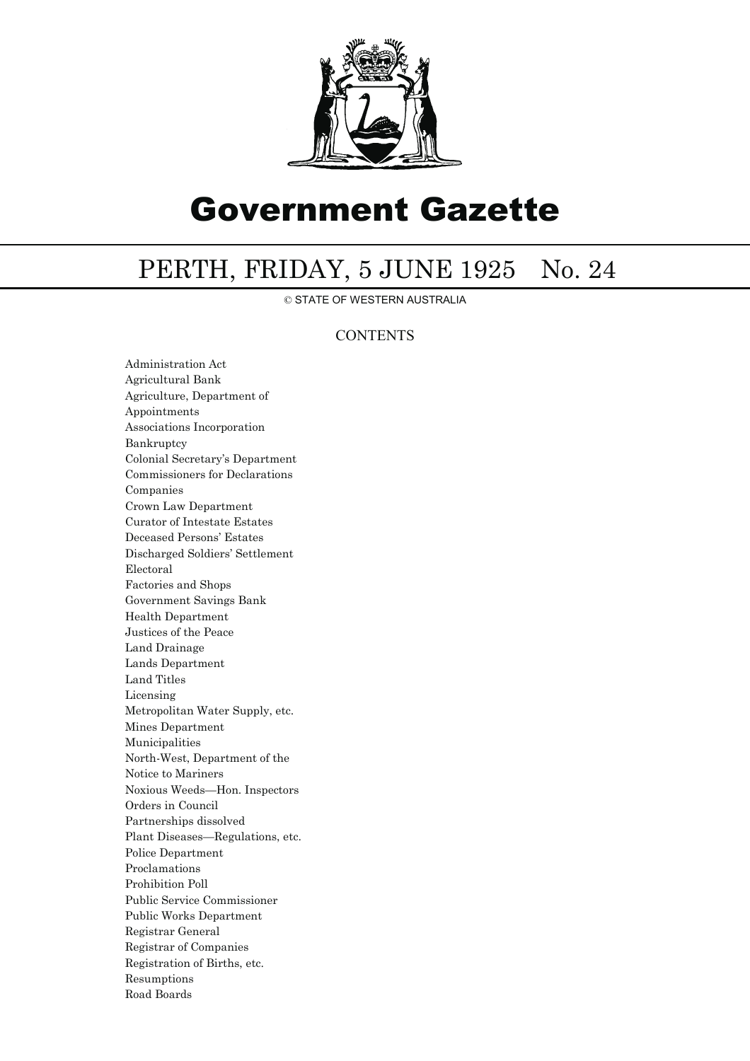

# Government Gazette

## PERTH, FRIDAY, 5 JUNE 1925 No. 24

© STATE OF WESTERN AUSTRALIA

## **CONTENTS**

Administration Act Agricultural Bank Agriculture, Department of Appointments Associations Incorporation Bankruptcy Colonial Secretary's Department Commissioners for Declarations Companies Crown Law Department Curator of Intestate Estates Deceased Persons' Estates Discharged Soldiers' Settlement Electoral Factories and Shops Government Savings Bank Health Department Justices of the Peace Land Drainage Lands Department Land Titles Licensing Metropolitan Water Supply, etc. Mines Department Municipalities North-West, Department of the Notice to Mariners Noxious Weeds—Hon. Inspectors Orders in Council Partnerships dissolved Plant Diseases—Regulations, etc. Police Department Proclamations Prohibition Poll Public Service Commissioner Public Works Department Registrar General Registrar of Companies Registration of Births, etc. Resumptions Road Boards